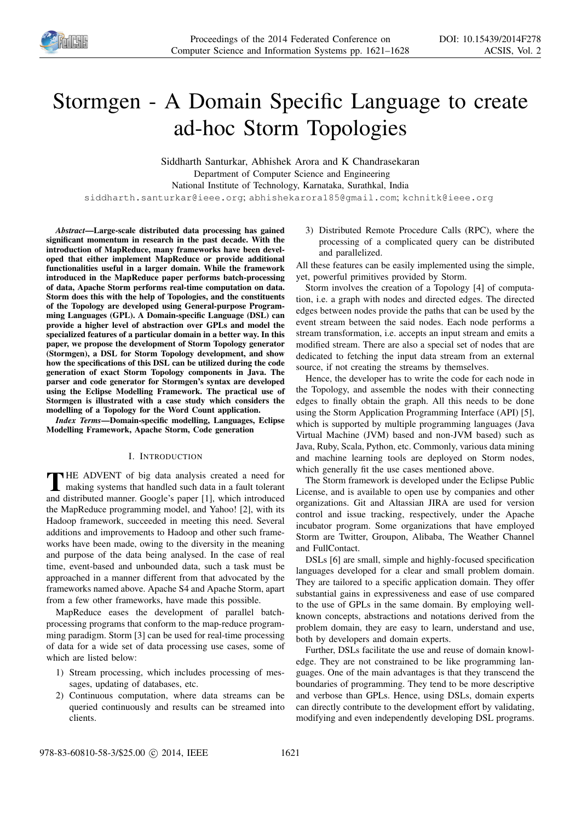

# Stormgen - A Domain Specific Language to create ad-hoc Storm Topologies

Siddharth Santurkar, Abhishek Arora and K Chandrasekaran Department of Computer Science and Engineering National Institute of Technology, Karnataka, Surathkal, India

siddharth.santurkar@ieee.org; abhishekarora185@gmail.com; kchnitk@ieee.org

*Abstract*—Large-scale distributed data processing has gained significant momentum in research in the past decade. With the introduction of MapReduce, many frameworks have been developed that either implement MapReduce or provide additional functionalities useful in a larger domain. While the framework introduced in the MapReduce paper performs batch-processing of data, Apache Storm performs real-time computation on data. Storm does this with the help of Topologies, and the constituents of the Topology are developed using General-purpose Programming Languages (GPL). A Domain-specific Language (DSL) can provide a higher level of abstraction over GPLs and model the specialized features of a particular domain in a better way. In this paper, we propose the development of Storm Topology generator (Stormgen), a DSL for Storm Topology development, and show how the specifications of this DSL can be utilized during the code generation of exact Storm Topology components in Java. The parser and code generator for Stormgen's syntax are developed using the Eclipse Modelling Framework. The practical use of Stormgen is illustrated with a case study which considers the modelling of a Topology for the Word Count application.

*Index Terms*—Domain-specific modelling, Languages, Eclipse Modelling Framework, Apache Storm, Code generation

### I. INTRODUCTION

THE ADVENT of big data analysis created a need for making systems that handled such data in a fault tolerant and distributed manner. Google's paper [1], which introduced **HE ADVENT** of big data analysis created a need for making systems that handled such data in a fault tolerant the MapReduce programming model, and Yahoo! [2], with its Hadoop framework, succeeded in meeting this need. Several additions and improvements to Hadoop and other such frameworks have been made, owing to the diversity in the meaning and purpose of the data being analysed. In the case of real time, event-based and unbounded data, such a task must be approached in a manner different from that advocated by the frameworks named above. Apache S4 and Apache Storm, apart from a few other frameworks, have made this possible.

MapReduce eases the development of parallel batchprocessing programs that conform to the map-reduce programming paradigm. Storm [3] can be used for real-time processing of data for a wide set of data processing use cases, some of which are listed below:

- 1) Stream processing, which includes processing of messages, updating of databases, etc.
- 2) Continuous computation, where data streams can be queried continuously and results can be streamed into clients.

3) Distributed Remote Procedure Calls (RPC), where the processing of a complicated query can be distributed and parallelized.

All these features can be easily implemented using the simple, yet, powerful primitives provided by Storm.

Storm involves the creation of a Topology [4] of computation, i.e. a graph with nodes and directed edges. The directed edges between nodes provide the paths that can be used by the event stream between the said nodes. Each node performs a stream transformation, i.e. accepts an input stream and emits a modified stream. There are also a special set of nodes that are dedicated to fetching the input data stream from an external source, if not creating the streams by themselves.

Hence, the developer has to write the code for each node in the Topology, and assemble the nodes with their connecting edges to finally obtain the graph. All this needs to be done using the Storm Application Programming Interface (API) [5], which is supported by multiple programming languages (Java Virtual Machine (JVM) based and non-JVM based) such as Java, Ruby, Scala, Python, etc. Commonly, various data mining and machine learning tools are deployed on Storm nodes, which generally fit the use cases mentioned above.

The Storm framework is developed under the Eclipse Public License, and is available to open use by companies and other organizations. Git and Altassian JIRA are used for version control and issue tracking, respectively, under the Apache incubator program. Some organizations that have employed Storm are Twitter, Groupon, Alibaba, The Weather Channel and FullContact.

DSLs [6] are small, simple and highly-focused specification languages developed for a clear and small problem domain. They are tailored to a specific application domain. They offer substantial gains in expressiveness and ease of use compared to the use of GPLs in the same domain. By employing wellknown concepts, abstractions and notations derived from the problem domain, they are easy to learn, understand and use, both by developers and domain experts.

Further, DSLs facilitate the use and reuse of domain knowledge. They are not constrained to be like programming languages. One of the main advantages is that they transcend the boundaries of programming. They tend to be more descriptive and verbose than GPLs. Hence, using DSLs, domain experts can directly contribute to the development effort by validating, modifying and even independently developing DSL programs.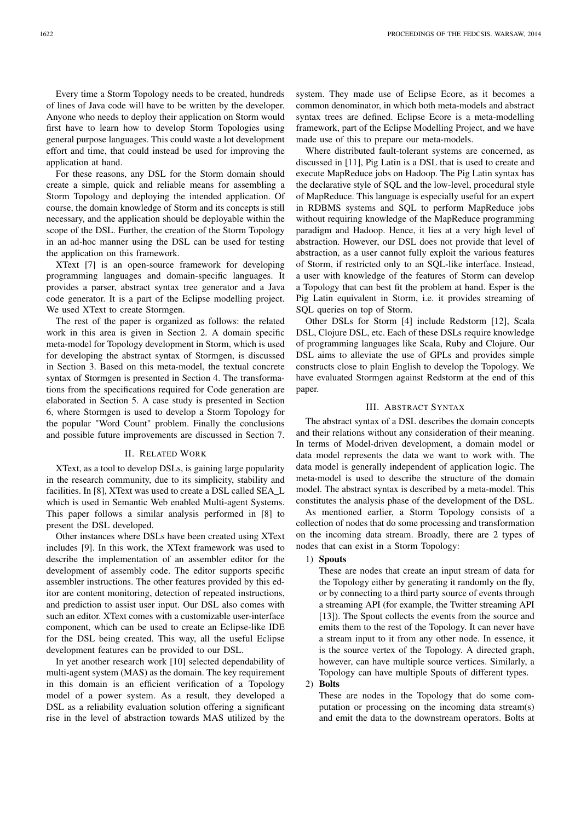Every time a Storm Topology needs to be created, hundreds of lines of Java code will have to be written by the developer. Anyone who needs to deploy their application on Storm would first have to learn how to develop Storm Topologies using general purpose languages. This could waste a lot development effort and time, that could instead be used for improving the application at hand.

For these reasons, any DSL for the Storm domain should create a simple, quick and reliable means for assembling a Storm Topology and deploying the intended application. Of course, the domain knowledge of Storm and its concepts is still necessary, and the application should be deployable within the scope of the DSL. Further, the creation of the Storm Topology in an ad-hoc manner using the DSL can be used for testing the application on this framework.

XText [7] is an open-source framework for developing programming languages and domain-specific languages. It provides a parser, abstract syntax tree generator and a Java code generator. It is a part of the Eclipse modelling project. We used XText to create Stormgen.

The rest of the paper is organized as follows: the related work in this area is given in Section 2. A domain specific meta-model for Topology development in Storm, which is used for developing the abstract syntax of Stormgen, is discussed in Section 3. Based on this meta-model, the textual concrete syntax of Stormgen is presented in Section 4. The transformations from the specifications required for Code generation are elaborated in Section 5. A case study is presented in Section 6, where Stormgen is used to develop a Storm Topology for the popular "Word Count" problem. Finally the conclusions and possible future improvements are discussed in Section 7.

### II. RELATED WORK

XText, as a tool to develop DSLs, is gaining large popularity in the research community, due to its simplicity, stability and facilities. In [8], XText was used to create a DSL called SEA\_L which is used in Semantic Web enabled Multi-agent Systems. This paper follows a similar analysis performed in [8] to present the DSL developed.

Other instances where DSLs have been created using XText includes [9]. In this work, the XText framework was used to describe the implementation of an assembler editor for the development of assembly code. The editor supports specific assembler instructions. The other features provided by this editor are content monitoring, detection of repeated instructions, and prediction to assist user input. Our DSL also comes with such an editor. XText comes with a customizable user-interface component, which can be used to create an Eclipse-like IDE for the DSL being created. This way, all the useful Eclipse development features can be provided to our DSL.

In yet another research work [10] selected dependability of multi-agent system (MAS) as the domain. The key requirement in this domain is an efficient verification of a Topology model of a power system. As a result, they developed a DSL as a reliability evaluation solution offering a significant rise in the level of abstraction towards MAS utilized by the system. They made use of Eclipse Ecore, as it becomes a common denominator, in which both meta-models and abstract syntax trees are defined. Eclipse Ecore is a meta-modelling framework, part of the Eclipse Modelling Project, and we have made use of this to prepare our meta-models.

Where distributed fault-tolerant systems are concerned, as discussed in [11], Pig Latin is a DSL that is used to create and execute MapReduce jobs on Hadoop. The Pig Latin syntax has the declarative style of SQL and the low-level, procedural style of MapReduce. This language is especially useful for an expert in RDBMS systems and SQL to perform MapReduce jobs without requiring knowledge of the MapReduce programming paradigm and Hadoop. Hence, it lies at a very high level of abstraction. However, our DSL does not provide that level of abstraction, as a user cannot fully exploit the various features of Storm, if restricted only to an SQL-like interface. Instead, a user with knowledge of the features of Storm can develop a Topology that can best fit the problem at hand. Esper is the Pig Latin equivalent in Storm, i.e. it provides streaming of SQL queries on top of Storm.

Other DSLs for Storm [4] include Redstorm [12], Scala DSL, Clojure DSL, etc. Each of these DSLs require knowledge of programming languages like Scala, Ruby and Clojure. Our DSL aims to alleviate the use of GPLs and provides simple constructs close to plain English to develop the Topology. We have evaluated Stormgen against Redstorm at the end of this paper.

### III. ABSTRACT SYNTAX

The abstract syntax of a DSL describes the domain concepts and their relations without any consideration of their meaning. In terms of Model-driven development, a domain model or data model represents the data we want to work with. The data model is generally independent of application logic. The meta-model is used to describe the structure of the domain model. The abstract syntax is described by a meta-model. This constitutes the analysis phase of the development of the DSL.

As mentioned earlier, a Storm Topology consists of a collection of nodes that do some processing and transformation on the incoming data stream. Broadly, there are 2 types of nodes that can exist in a Storm Topology:

## 1) Spouts

These are nodes that create an input stream of data for the Topology either by generating it randomly on the fly, or by connecting to a third party source of events through a streaming API (for example, the Twitter streaming API [13]). The Spout collects the events from the source and emits them to the rest of the Topology. It can never have a stream input to it from any other node. In essence, it is the source vertex of the Topology. A directed graph, however, can have multiple source vertices. Similarly, a Topology can have multiple Spouts of different types.

2) Bolts

These are nodes in the Topology that do some computation or processing on the incoming data stream(s) and emit the data to the downstream operators. Bolts at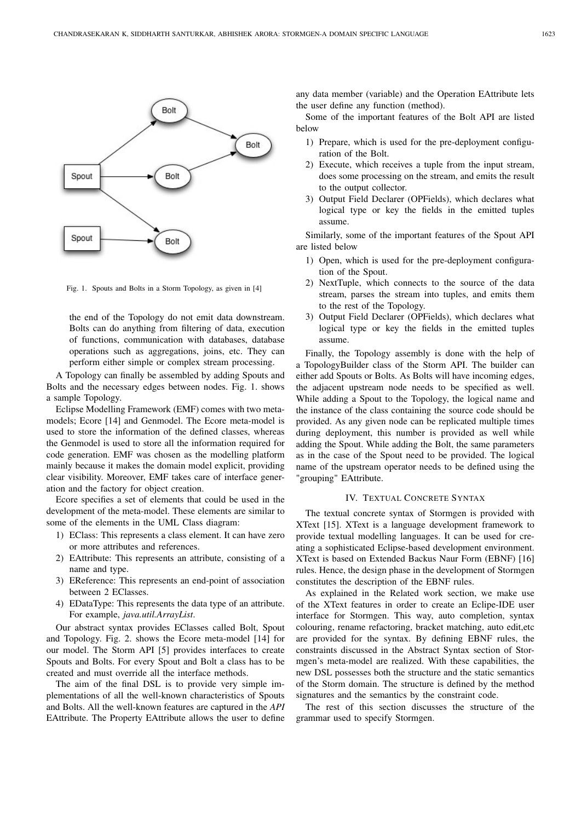

Fig. 1. Spouts and Bolts in a Storm Topology, as given in [4]

the end of the Topology do not emit data downstream. Bolts can do anything from filtering of data, execution of functions, communication with databases, database operations such as aggregations, joins, etc. They can perform either simple or complex stream processing.

A Topology can finally be assembled by adding Spouts and Bolts and the necessary edges between nodes. Fig. 1. shows a sample Topology.

Eclipse Modelling Framework (EMF) comes with two metamodels; Ecore [14] and Genmodel. The Ecore meta-model is used to store the information of the defined classes, whereas the Genmodel is used to store all the information required for code generation. EMF was chosen as the modelling platform mainly because it makes the domain model explicit, providing clear visibility. Moreover, EMF takes care of interface generation and the factory for object creation.

Ecore specifies a set of elements that could be used in the development of the meta-model. These elements are similar to some of the elements in the UML Class diagram:

- 1) EClass: This represents a class element. It can have zero or more attributes and references.
- 2) EAttribute: This represents an attribute, consisting of a name and type.
- 3) EReference: This represents an end-point of association between 2 EClasses.
- 4) EDataType: This represents the data type of an attribute. For example, *java.util.ArrayList*.

Our abstract syntax provides EClasses called Bolt, Spout and Topology. Fig. 2. shows the Ecore meta-model [14] for our model. The Storm API [5] provides interfaces to create Spouts and Bolts. For every Spout and Bolt a class has to be created and must override all the interface methods.

The aim of the final DSL is to provide very simple implementations of all the well-known characteristics of Spouts and Bolts. All the well-known features are captured in the *API* EAttribute. The Property EAttribute allows the user to define any data member (variable) and the Operation EAttribute lets the user define any function (method).

Some of the important features of the Bolt API are listed below

- 1) Prepare, which is used for the pre-deployment configuration of the Bolt.
- 2) Execute, which receives a tuple from the input stream, does some processing on the stream, and emits the result to the output collector.
- 3) Output Field Declarer (OPFields), which declares what logical type or key the fields in the emitted tuples assume.

Similarly, some of the important features of the Spout API are listed below

- 1) Open, which is used for the pre-deployment configuration of the Spout.
- 2) NextTuple, which connects to the source of the data stream, parses the stream into tuples, and emits them to the rest of the Topology.
- 3) Output Field Declarer (OPFields), which declares what logical type or key the fields in the emitted tuples assume.

Finally, the Topology assembly is done with the help of a TopologyBuilder class of the Storm API. The builder can either add Spouts or Bolts. As Bolts will have incoming edges, the adjacent upstream node needs to be specified as well. While adding a Spout to the Topology, the logical name and the instance of the class containing the source code should be provided. As any given node can be replicated multiple times during deployment, this number is provided as well while adding the Spout. While adding the Bolt, the same parameters as in the case of the Spout need to be provided. The logical name of the upstream operator needs to be defined using the "grouping" EAttribute.

## IV. TEXTUAL CONCRETE SYNTAX

The textual concrete syntax of Stormgen is provided with XText [15]. XText is a language development framework to provide textual modelling languages. It can be used for creating a sophisticated Eclipse-based development environment. XText is based on Extended Backus Naur Form (EBNF) [16] rules. Hence, the design phase in the development of Stormgen constitutes the description of the EBNF rules.

As explained in the Related work section, we make use of the XText features in order to create an Eclipe-IDE user interface for Stormgen. This way, auto completion, syntax colouring, rename refactoring, bracket matching, auto edit,etc are provided for the syntax. By defining EBNF rules, the constraints discussed in the Abstract Syntax section of Stormgen's meta-model are realized. With these capabilities, the new DSL possesses both the structure and the static semantics of the Storm domain. The structure is defined by the method signatures and the semantics by the constraint code.

The rest of this section discusses the structure of the grammar used to specify Stormgen.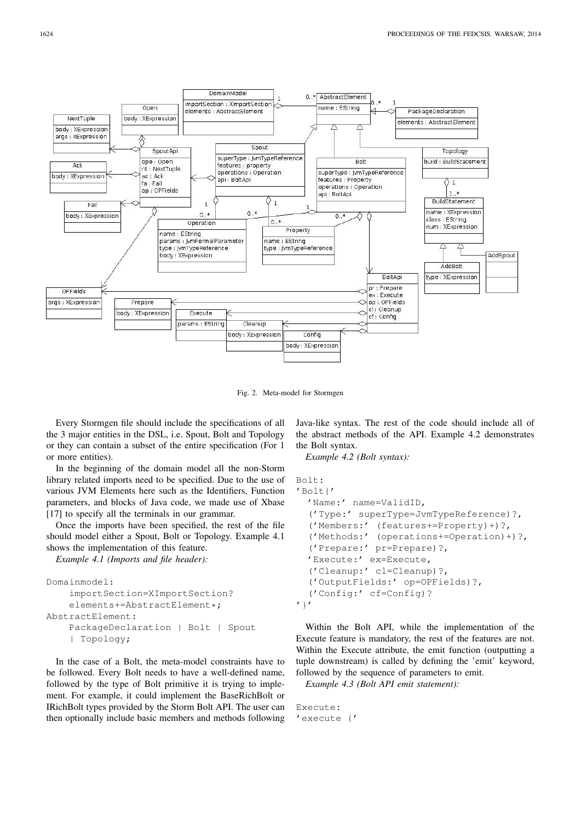

Fig. 2. Meta-model for Stormgen

Every Stormgen file should include the specifications of all the 3 major entities in the DSL, i.e. Spout, Bolt and Topology or they can contain a subset of the entire specification (For 1 or more entities).

In the beginning of the domain model all the non-Storm library related imports need to be specified. Due to the use of various JVM Elements here such as the Identifiers, Function parameters, and blocks of Java code, we made use of Xbase [17] to specify all the terminals in our grammar.

Once the imports have been specified, the rest of the file should model either a Spout, Bolt or Topology. Example 4.1 shows the implementation of this feature.

*Example 4.1 (Imports and file header):*

```
Domainmodel:
    importSection=XImportSection?
    elements+=AbstractElement*;
AbstractElement:
    PackageDeclaration | Bolt | Spout
    | Topology;
```
In the case of a Bolt, the meta-model constraints have to be followed. Every Bolt needs to have a well-defined name, followed by the type of Bolt primitive it is trying to implement. For example, it could implement the BaseRichBolt or IRichBolt types provided by the Storm Bolt API. The user can then optionally include basic members and methods following Java-like syntax. The rest of the code should include all of the abstract methods of the API. Example 4.2 demonstrates the Bolt syntax.

*Example 4.2 (Bolt syntax):*

```
Bolt:
'Bolt{'
  'Name:' name=ValidID,
  ('Type:' superType=JvmTypeReference)?,
  ('Members:' (features+=Property)+)?,
  ('Methods:' (operations+=Operation)+)?,
  ('Prepare:' pr=Prepare)?,
  'Execute:' ex=Execute,
  ('Cleanup:' cl=Cleanup)?,
  ('OutputFields:' op=OPFields)?,
  ('Config:' cf=Config)?
'}'
```
Within the Bolt API, while the implementation of the Execute feature is mandatory, the rest of the features are not. Within the Execute attribute, the emit function (outputting a tuple downstream) is called by defining the 'emit' keyword, followed by the sequence of parameters to emit.

*Example 4.3 (Bolt API emit statement):*

```
Execute:
'execute {'
```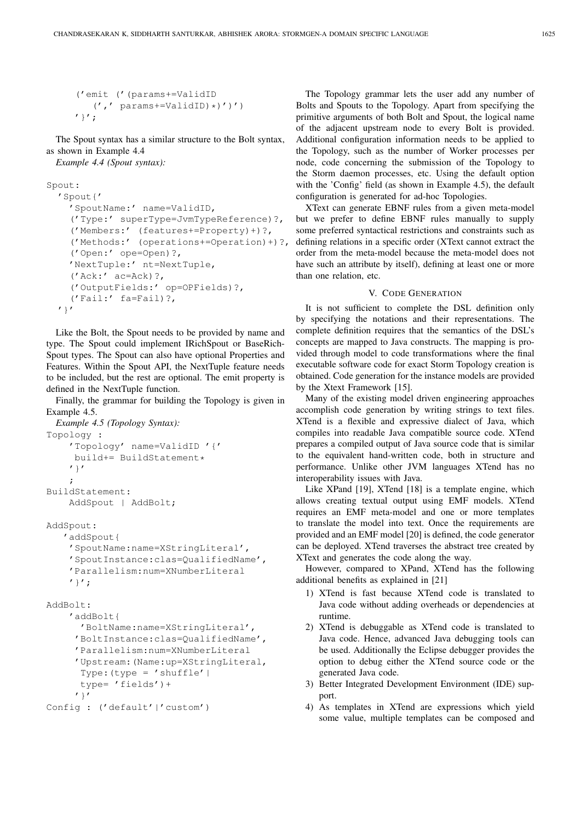```
('emit ('(params+=ValidID
   (',' ' params+=ValidID)*)')')'}';
```
The Spout syntax has a similar structure to the Bolt syntax, as shown in Example 4.4

*Example 4.4 (Spout syntax):*

```
Spout:
```

```
'Spout{'
 'SpoutName:' name=ValidID,
  ('Type:' superType=JvmTypeReference)?,
  ('Members:' (features+=Property)+)?,
  ('Methods:' (operations+=Operation)+)?,
  ('Open:' ope=Open)?,
  'NextTuple:' nt=NextTuple,
  ('Ack:' ac=Ack)?,
  ('OutputFields:' op=OPFields)?,
  ('Fail:' fa=Fail)?,
\prime } \prime
```
Like the Bolt, the Spout needs to be provided by name and type. The Spout could implement IRichSpout or BaseRich-Spout types. The Spout can also have optional Properties and Features. Within the Spout API, the NextTuple feature needs to be included, but the rest are optional. The emit property is defined in the NextTuple function.

Finally, the grammar for building the Topology is given in Example 4.5.

```
Example 4.5 (Topology Syntax):
Topology :
    'Topology' name=ValidID '{'
     build+= BuildStatement*
    '}'
    ;
BuildStatement:
    AddSpout | AddBolt;
```
AddSpout:

```
'addSpout{
'SpoutName:name=XStringLiteral',
'SpoutInstance:clas=QualifiedName',
'Parallelism:num=XNumberLiteral
'}';
```

```
AddBolt:
    'addBolt{
```

```
'BoltName:name=XStringLiteral',
'BoltInstance:clas=QualifiedName',
'Parallelism:num=XNumberLiteral
'Upstream:(Name:up=XStringLiteral,
Type: (type = 'shuffle' |type= 'fields')+
'}'
```
Config : ('default'|'custom')

The Topology grammar lets the user add any number of Bolts and Spouts to the Topology. Apart from specifying the primitive arguments of both Bolt and Spout, the logical name of the adjacent upstream node to every Bolt is provided. Additional configuration information needs to be applied to the Topology, such as the number of Worker processes per node, code concerning the submission of the Topology to the Storm daemon processes, etc. Using the default option with the 'Config' field (as shown in Example 4.5), the default configuration is generated for ad-hoc Topologies.

XText can generate EBNF rules from a given meta-model but we prefer to define EBNF rules manually to supply some preferred syntactical restrictions and constraints such as defining relations in a specific order (XText cannot extract the order from the meta-model because the meta-model does not have such an attribute by itself), defining at least one or more than one relation, etc.

## V. CODE GENERATION

It is not sufficient to complete the DSL definition only by specifying the notations and their representations. The complete definition requires that the semantics of the DSL's concepts are mapped to Java constructs. The mapping is provided through model to code transformations where the final executable software code for exact Storm Topology creation is obtained. Code generation for the instance models are provided by the Xtext Framework [15].

Many of the existing model driven engineering approaches accomplish code generation by writing strings to text files. XTend is a flexible and expressive dialect of Java, which compiles into readable Java compatible source code. XTend prepares a compiled output of Java source code that is similar to the equivalent hand-written code, both in structure and performance. Unlike other JVM languages XTend has no interoperability issues with Java.

Like XPand [19], XTend [18] is a template engine, which allows creating textual output using EMF models. XTend requires an EMF meta-model and one or more templates to translate the model into text. Once the requirements are provided and an EMF model [20] is defined, the code generator can be deployed. XTend traverses the abstract tree created by XText and generates the code along the way.

However, compared to XPand, XTend has the following additional benefits as explained in [21]

- 1) XTend is fast because XTend code is translated to Java code without adding overheads or dependencies at runtime.
- 2) XTend is debuggable as XTend code is translated to Java code. Hence, advanced Java debugging tools can be used. Additionally the Eclipse debugger provides the option to debug either the XTend source code or the generated Java code.
- 3) Better Integrated Development Environment (IDE) support.
- 4) As templates in XTend are expressions which yield some value, multiple templates can be composed and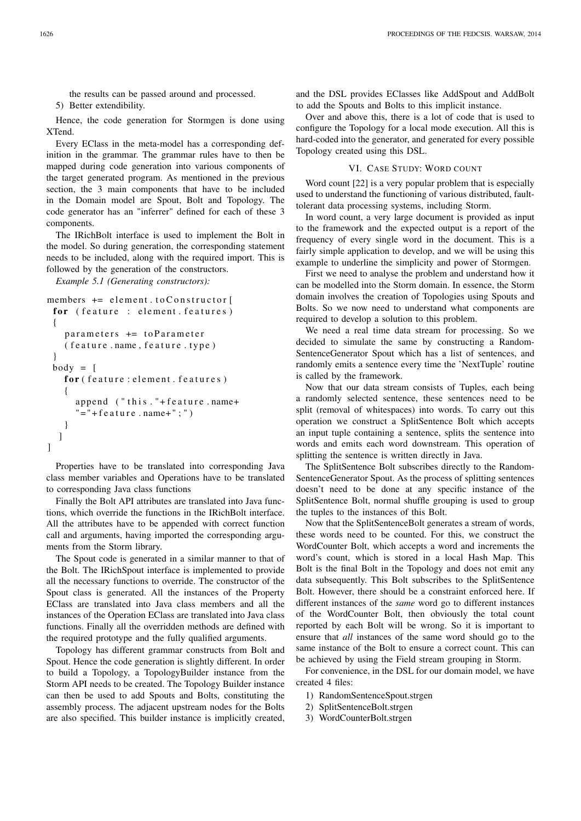the results can be passed around and processed.

5) Better extendibility.

Hence, the code generation for Stormgen is done using XTend.

Every EClass in the meta-model has a corresponding definition in the grammar. The grammar rules have to then be mapped during code generation into various components of the target generated program. As mentioned in the previous section, the 3 main components that have to be included in the Domain model are Spout, Bolt and Topology. The code generator has an "inferrer" defined for each of these 3 components.

The IRichBolt interface is used to implement the Bolt in the model. So during generation, the corresponding statement needs to be included, along with the required import. This is followed by the generation of the constructors.

*Example 5.1 (Generating constructors):*

```
members += element.toConstructor [
 for (feature : element.features)
 {
   parameters += to Parameter
   ( feature.name, feature.type)}
 body = [for (feature: element. features)
   {
     append ('this.''+feature.name+)" = " + feature.name + " ; " )}
  ]
]
```
Properties have to be translated into corresponding Java class member variables and Operations have to be translated to corresponding Java class functions

Finally the Bolt API attributes are translated into Java functions, which override the functions in the IRichBolt interface. All the attributes have to be appended with correct function call and arguments, having imported the corresponding arguments from the Storm library.

The Spout code is generated in a similar manner to that of the Bolt. The IRichSpout interface is implemented to provide all the necessary functions to override. The constructor of the Spout class is generated. All the instances of the Property EClass are translated into Java class members and all the instances of the Operation EClass are translated into Java class functions. Finally all the overridden methods are defined with the required prototype and the fully qualified arguments.

Topology has different grammar constructs from Bolt and Spout. Hence the code generation is slightly different. In order to build a Topology, a TopologyBuilder instance from the Storm API needs to be created. The Topology Builder instance can then be used to add Spouts and Bolts, constituting the assembly process. The adjacent upstream nodes for the Bolts are also specified. This builder instance is implicitly created, and the DSL provides EClasses like AddSpout and AddBolt to add the Spouts and Bolts to this implicit instance.

Over and above this, there is a lot of code that is used to configure the Topology for a local mode execution. All this is hard-coded into the generator, and generated for every possible Topology created using this DSL.

## VI. CASE STUDY: WORD COUNT

Word count [22] is a very popular problem that is especially used to understand the functioning of various distributed, faulttolerant data processing systems, including Storm.

In word count, a very large document is provided as input to the framework and the expected output is a report of the frequency of every single word in the document. This is a fairly simple application to develop, and we will be using this example to underline the simplicity and power of Stormgen.

First we need to analyse the problem and understand how it can be modelled into the Storm domain. In essence, the Storm domain involves the creation of Topologies using Spouts and Bolts. So we now need to understand what components are required to develop a solution to this problem.

We need a real time data stream for processing. So we decided to simulate the same by constructing a Random-SentenceGenerator Spout which has a list of sentences, and randomly emits a sentence every time the 'NextTuple' routine is called by the framework.

Now that our data stream consists of Tuples, each being a randomly selected sentence, these sentences need to be split (removal of whitespaces) into words. To carry out this operation we construct a SplitSentence Bolt which accepts an input tuple containing a sentence, splits the sentence into words and emits each word downstream. This operation of splitting the sentence is written directly in Java.

The SplitSentence Bolt subscribes directly to the Random-SentenceGenerator Spout. As the process of splitting sentences doesn't need to be done at any specific instance of the SplitSentence Bolt, normal shuffle grouping is used to group the tuples to the instances of this Bolt.

Now that the SplitSentenceBolt generates a stream of words, these words need to be counted. For this, we construct the WordCounter Bolt, which accepts a word and increments the word's count, which is stored in a local Hash Map. This Bolt is the final Bolt in the Topology and does not emit any data subsequently. This Bolt subscribes to the SplitSentence Bolt. However, there should be a constraint enforced here. If different instances of the *same* word go to different instances of the WordCounter Bolt, then obviously the total count reported by each Bolt will be wrong. So it is important to ensure that *all* instances of the same word should go to the same instance of the Bolt to ensure a correct count. This can be achieved by using the Field stream grouping in Storm.

For convenience, in the DSL for our domain model, we have created 4 files:

- 1) RandomSentenceSpout.strgen
- 2) SplitSentenceBolt.strgen
- 3) WordCounterBolt.strgen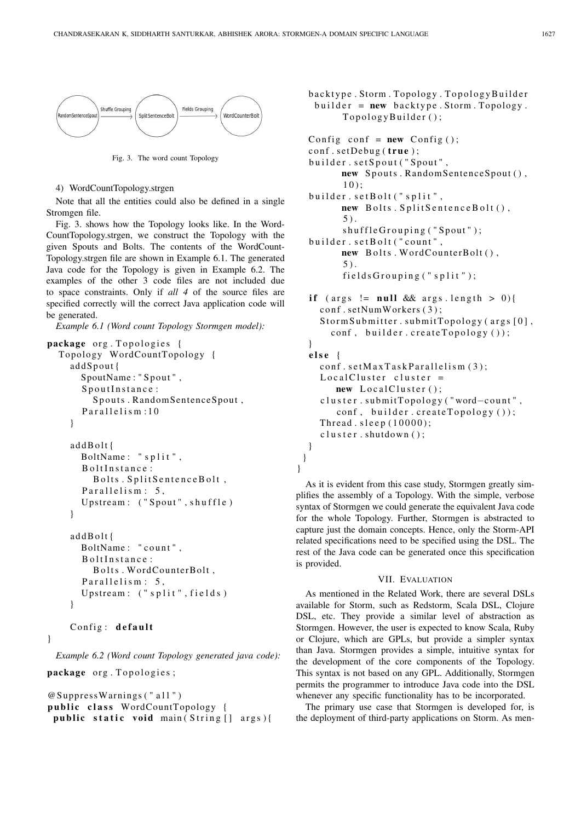

Fig. 3. The word count Topology

## 4) WordCountTopology.strgen

Note that all the entities could also be defined in a single Stromgen file.

Fig. 3. shows how the Topology looks like. In the Word-CountTopology.strgen, we construct the Topology with the given Spouts and Bolts. The contents of the WordCount-Topology.strgen file are shown in Example 6.1. The generated Java code for the Topology is given in Example 6.2. The examples of the other 3 code files are not included due to space constraints. Only if *all 4* of the source files are specified correctly will the correct Java application code will be generated.

*Example 6.1 (Word count Topology Stormgen model):*

```
package org. Topologies {
  Topology WordCountTopology {
    addSpout{
      SpoutName: "Spout",
      SpoutInstance:
        Spouts. RandomSentenceSpout,
      Parallelism:10
    }
    addBolt{
      BoltName: "split".
      B olt Instance:
        Bolts. SplitSentenceBolt,
      Parallelism: 5,
      Upstream: ("Spout", shuffle)
    }
    addBolt{
      BoltName: "count".
      BoltInstance:
        Bolts. WordCounterBolt,
      Parallelism: 5,
      Upstream: ("split", field s)}
    Config: default
```
*Example 6.2 (Word count Topology generated java code):*

```
package org. Topologies;
```
}

```
@SuppressWarnings ( " all " )public class WordCountTopology {
 public static void main (String [] args) {
```

```
backtype. Storm. Topology. TopologyBuilder
 builder = new \text{backtype}.Storm. Topology.TopologyBuilder();
```

```
Config conf = new Config ();
 conf.setDebug(true);
 builder.setSpout ("Spout",
       new Spouts. RandomSentenceSpout (),
       10 ) ;
 builder.setBolt("split",
       new Bolts. SplitSentenceBolt(),
       5).
       shuffle Grouping('Spout');builder.setBolt ("count",
       new Bolts. WordCounterBolt(),
       5 ) .
       fields Grouping('split');if (args != null && args. length > 0){
   conf.setNumWorkers(3);
   StormSubmitter.submitTopology (args [0],
     conf, builder.createTopology());
 }
 e l s e {
   conf.setMaxTaskParallelism(3);LocalCluster cluster =
      new LocalCluster();
   c luster . submitTopology ("word-count",
      conf, builder.createTopology());
   Thread. sleep(10000);
   c l u s t e r . shut down ( );
 }
}
```
As it is evident from this case study, Stormgen greatly simplifies the assembly of a Topology. With the simple, verbose syntax of Stormgen we could generate the equivalent Java code for the whole Topology. Further, Stormgen is abstracted to capture just the domain concepts. Hence, only the Storm-API related specifications need to be specified using the DSL. The rest of the Java code can be generated once this specification is provided.

}

## VII. EVALUATION

As mentioned in the Related Work, there are several DSLs available for Storm, such as Redstorm, Scala DSL, Clojure DSL, etc. They provide a similar level of abstraction as Stormgen. However, the user is expected to know Scala, Ruby or Clojure, which are GPLs, but provide a simpler syntax than Java. Stormgen provides a simple, intuitive syntax for the development of the core components of the Topology. This syntax is not based on any GPL. Additionally, Stormgen permits the programmer to introduce Java code into the DSL whenever any specific functionality has to be incorporated.

The primary use case that Stormgen is developed for, is the deployment of third-party applications on Storm. As men